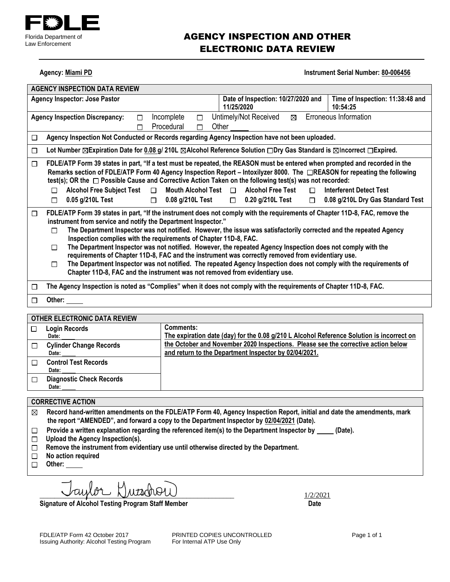

### AGENCY INSPECTION AND OTHER ELECTRONIC DATA REVIEW

**Agency: Miami PD Instrument Serial Number: 80-006456** 

| <b>AGENCY INSPECTION DATA REVIEW</b>                                                                                                                                                                                                                                                                                                                                                                                                                                                                                                                                                                                                                                                                                                                                                                                                |                                                                                                                   |                                              |  |  |  |
|-------------------------------------------------------------------------------------------------------------------------------------------------------------------------------------------------------------------------------------------------------------------------------------------------------------------------------------------------------------------------------------------------------------------------------------------------------------------------------------------------------------------------------------------------------------------------------------------------------------------------------------------------------------------------------------------------------------------------------------------------------------------------------------------------------------------------------------|-------------------------------------------------------------------------------------------------------------------|----------------------------------------------|--|--|--|
| <b>Agency Inspector: Jose Pastor</b>                                                                                                                                                                                                                                                                                                                                                                                                                                                                                                                                                                                                                                                                                                                                                                                                | Date of Inspection: 10/27/2020 and<br>11/25/2020                                                                  | Time of Inspection: 11:38:48 and<br>10:54:25 |  |  |  |
| Incomplete<br><b>Agency Inspection Discrepancy:</b><br>□<br>П<br>Procedural<br>П<br>П                                                                                                                                                                                                                                                                                                                                                                                                                                                                                                                                                                                                                                                                                                                                               | Untimely/Not Received<br>⊠<br>Other                                                                               | Erroneous Information                        |  |  |  |
| Agency Inspection Not Conducted or Records regarding Agency Inspection have not been uploaded.<br>□                                                                                                                                                                                                                                                                                                                                                                                                                                                                                                                                                                                                                                                                                                                                 |                                                                                                                   |                                              |  |  |  |
| Lot Number ⊠Expiration Date for 0.08 g/ 210L ⊠Alcohol Reference Solution □Dry Gas Standard is ⊠Incorrect □Expired.<br>$\Box$                                                                                                                                                                                                                                                                                                                                                                                                                                                                                                                                                                                                                                                                                                        |                                                                                                                   |                                              |  |  |  |
| FDLE/ATP Form 39 states in part, "If a test must be repeated, the REASON must be entered when prompted and recorded in the<br>□<br>Remarks section of FDLE/ATP Form 40 Agency Inspection Report – Intoxilyzer 8000. The □REASON for repeating the following<br>test(s); OR the $\Box$ Possible Cause and Corrective Action Taken on the following test(s) was not recorded:<br><b>Alcohol Free Subject Test</b><br>Mouth Alcohol Test $\Box$<br><b>Alcohol Free Test</b><br>$\Box$<br><b>Interferent Detect Test</b><br>$\Box$<br>П<br>0.05 g/210L Test<br>0.08 g/210L Test<br>$\Box$ 0.20 g/210L Test<br>0.08 g/210L Dry Gas Standard Test<br>$\Box$<br>П<br>□                                                                                                                                                                     |                                                                                                                   |                                              |  |  |  |
| FDLE/ATP Form 39 states in part, "If the instrument does not comply with the requirements of Chapter 11D-8, FAC, remove the<br>□<br>instrument from service and notify the Department Inspector."<br>The Department Inspector was not notified. However, the issue was satisfactorily corrected and the repeated Agency<br>П<br>Inspection complies with the requirements of Chapter 11D-8, FAC.<br>The Department Inspector was not notified. However, the repeated Agency Inspection does not comply with the<br>П<br>requirements of Chapter 11D-8, FAC and the instrument was correctly removed from evidentiary use.<br>The Department Inspector was not notified. The repeated Agency Inspection does not comply with the requirements of<br>П<br>Chapter 11D-8, FAC and the instrument was not removed from evidentiary use. |                                                                                                                   |                                              |  |  |  |
| □                                                                                                                                                                                                                                                                                                                                                                                                                                                                                                                                                                                                                                                                                                                                                                                                                                   | The Agency Inspection is noted as "Complies" when it does not comply with the requirements of Chapter 11D-8, FAC. |                                              |  |  |  |
| Other:<br>П                                                                                                                                                                                                                                                                                                                                                                                                                                                                                                                                                                                                                                                                                                                                                                                                                         |                                                                                                                   |                                              |  |  |  |
|                                                                                                                                                                                                                                                                                                                                                                                                                                                                                                                                                                                                                                                                                                                                                                                                                                     |                                                                                                                   |                                              |  |  |  |

| OTHER ELECTRONIC DATA REVIEW             |                                                                                                                                            |
|------------------------------------------|--------------------------------------------------------------------------------------------------------------------------------------------|
| <b>Login Records</b><br>Date:            | Comments:<br>The expiration date (day) for the 0.08 g/210 L Alcohol Reference Solution is incorrect on                                     |
| <b>Cylinder Change Records</b><br>Date:  | the October and November 2020 Inspections. Please see the corrective action below<br>and return to the Department Inspector by 02/04/2021. |
| <b>Control Test Records</b><br>Date:     |                                                                                                                                            |
| <b>Diagnostic Check Records</b><br>Date: |                                                                                                                                            |

#### **CORRECTIVE ACTION**

**Record hand-written amendments on the FDLE/ATP Form 40, Agency Inspection Report, initial and date the amendments, mark the report "AMENDED", and forward a copy to the Department Inspector by 02/04/2021 (Date).**

- Provide a written explanation regarding the referenced item(s) to the Department Inspector by \_\_\_\_\_ (Date).  $\Box$
- **Upload the Agency Inspection(s).**
- **Remove the instrument from evidentiary use until otherwise directed by the Department.**
- **No action required**
- □ Other:

 $cupor$   $\bigcup$ uracho $\bigcup$ 

Signature of Alcohol Testing Program Staff Member **Date 19th Contact Contact Contact Contact Contact Contact Contact Contact Contact Contact Contact Contact Contact Contact Contact Contact Contact Contact Contact Contact C** 

FDLE/ATP Form 42 October 2017 **PRINTED COPIES UNCONTROLLED** Page 1 of 1<br>
Issuing Authority: Alcohol Testing Program For Internal ATP Use Only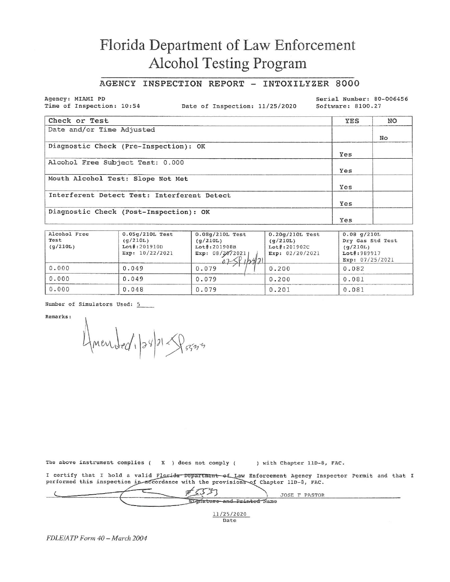## Florida Department of Law Enforcement Alcohol Testing Program

### AGENCY INSPECTION REPORT - INTOXILYZER 8000

Agency: MIAMI PD Time of Inspection: 10:54

Date of Inspection: 11/25/2020

Serial Number: 80-006456 Software: 8100.27

| Check or Test                               | YES | NO |
|---------------------------------------------|-----|----|
| Date and/or Time Adjusted                   |     | No |
| Diagnostic Check (Pre-Inspection): OK       | Yes |    |
| Alcohol Free Subject Test: 0.000            | Yes |    |
| Mouth Alcohol Test: Slope Not Met           | Yes |    |
| Interferent Detect Test: Interferent Detect | Yes |    |
| Diagnostic Check (Post-Inspection): OK      | Yes |    |

| Alcohol Free<br>Test<br>(g/210L) | $0.05q/210L$ Test<br>(q/210L)<br>Lot#:201910D<br>Exp: 10/22/2021 | $0.08q/210L$ Test<br>(q/210L)<br>Lot#:201908B<br>Exp: 08/20/2021<br>$025$ $11421$ | $0.20q/210L$ Test<br>(q/210L)<br>Lot#:201902C<br>Exp: 02/20/2021 | $0.08$ q/210L<br>Dry Gas Std Test<br>(q/210L)<br>Lot#:989917<br>Exp: 07/25/2021 |
|----------------------------------|------------------------------------------------------------------|-----------------------------------------------------------------------------------|------------------------------------------------------------------|---------------------------------------------------------------------------------|
| 0.000                            | 0.049                                                            | 0.079                                                                             | 0.200                                                            | 0.082                                                                           |
| 0.000                            | 0.049                                                            | 0.079                                                                             | 0.200                                                            | 0.081                                                                           |
| 0.000                            | 0.048                                                            | 0.079                                                                             | 0.201                                                            | 0.081                                                                           |

Number of Simulators Used: 5

Remarks:

Amended, 124/21-Porm

The above instrument complies ( $\mathbf{x}$ ) does not comply ( ) with Chapter 11D-8, FAC.

I certify that I hold a valid Florida Department of Law Enforcement Agency Inspector Permit and that I<br>performed this inspection in accordance with the provisions of Chapter 11D-8, FAC.

|  |                            | JOSE F PASTOR |  |
|--|----------------------------|---------------|--|
|  | Signature and Printed Name |               |  |
|  | 11/25/2020                 |               |  |
|  | Date                       |               |  |

FDLE/ATP Form 40 - March 2004